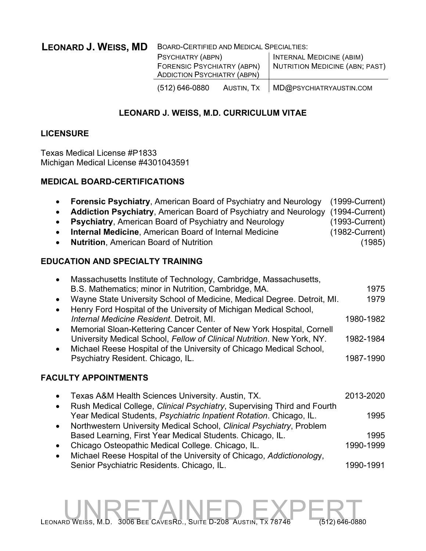**LEONARD J. WEISS, MD** BOARD-CERTIFIED AND MEDICAL SPECIALTIES:

| PSYCHIATRY (ABPN)<br>FORENSIC PSYCHIATRY (ABPN)<br><b>ADDICTION PSYCHIATRY (ABPN)</b> |            | <b>INTERNAL MEDICINE (ABIM)</b><br>NUTRITION MEDICINE (ABN; PAST) |
|---------------------------------------------------------------------------------------|------------|-------------------------------------------------------------------|
| $(512) 646 - 0880$                                                                    | AUSTIN, TX | MD@PSYCHIATRYAUSTIN.COM                                           |

## **LEONARD J. WEISS, M.D. CURRICULUM VITAE**

## **LICENSURE**

Texas Medical License #P1833 Michigan Medical License #4301043591

### **MEDICAL BOARD-CERTIFICATIONS**

| <b>Forensic Psychiatry, American Board of Psychiatry and Neurology</b><br>$\bullet$<br><b>Addiction Psychiatry, American Board of Psychiatry and Neurology</b><br>$\bullet$<br>Psychiatry, American Board of Psychiatry and Neurology<br>$\bullet$<br>Internal Medicine, American Board of Internal Medicine<br><b>Nutrition, American Board of Nutrition</b><br>$\bullet$                                                                                                                                                                                                                                                                          | $(1999-Current)$<br>$(1994$ -Current)<br>$(1993-Current)$<br>$(1982$ -Current)<br>(1985) |
|-----------------------------------------------------------------------------------------------------------------------------------------------------------------------------------------------------------------------------------------------------------------------------------------------------------------------------------------------------------------------------------------------------------------------------------------------------------------------------------------------------------------------------------------------------------------------------------------------------------------------------------------------------|------------------------------------------------------------------------------------------|
| <b>EDUCATION AND SPECIALTY TRAINING</b>                                                                                                                                                                                                                                                                                                                                                                                                                                                                                                                                                                                                             |                                                                                          |
| Massachusetts Institute of Technology, Cambridge, Massachusetts,<br>$\bullet$<br>B.S. Mathematics; minor in Nutrition, Cambridge, MA.<br>Wayne State University School of Medicine, Medical Degree. Detroit, MI.<br>$\bullet$<br>Henry Ford Hospital of the University of Michigan Medical School,<br>$\bullet$<br>Internal Medicine Resident. Detroit, MI.<br>Memorial Sloan-Kettering Cancer Center of New York Hospital, Cornell<br>$\bullet$<br>University Medical School, Fellow of Clinical Nutrition. New York, NY.<br>Michael Reese Hospital of the University of Chicago Medical School,<br>$\bullet$<br>Psychiatry Resident. Chicago, IL. | 1975<br>1979<br>1980-1982<br>1982-1984<br>1987-1990                                      |
| <b>FACULTY APPOINTMENTS</b>                                                                                                                                                                                                                                                                                                                                                                                                                                                                                                                                                                                                                         |                                                                                          |
| Texas A&M Health Sciences University. Austin, TX.<br>$\bullet$                                                                                                                                                                                                                                                                                                                                                                                                                                                                                                                                                                                      | 2013-2020                                                                                |
| Rush Medical College, Clinical Psychiatry, Supervising Third and Fourth<br>$\bullet$<br>Year Medical Students, Psychiatric Inpatient Rotation. Chicago, IL.<br>Northwestern University Medical School, Clinical Psychiatry, Problem<br>$\bullet$                                                                                                                                                                                                                                                                                                                                                                                                    | 1995                                                                                     |
| Based Learning, First Year Medical Students. Chicago, IL.                                                                                                                                                                                                                                                                                                                                                                                                                                                                                                                                                                                           | 1995                                                                                     |
| Chicago Osteopathic Medical College. Chicago, IL.<br>$\bullet$<br>Michael Reese Hospital of the University of Chicago, Addictionology,<br>$\bullet$                                                                                                                                                                                                                                                                                                                                                                                                                                                                                                 | 1990-1999                                                                                |
| Senior Psychiatric Residents. Chicago, IL.                                                                                                                                                                                                                                                                                                                                                                                                                                                                                                                                                                                                          | 1990-1991                                                                                |

LEONARD WEISS, M.D. 3006 BEE CAVESRD., SUITE D-208 AUSTIN, TX 78746 (512) 646-0880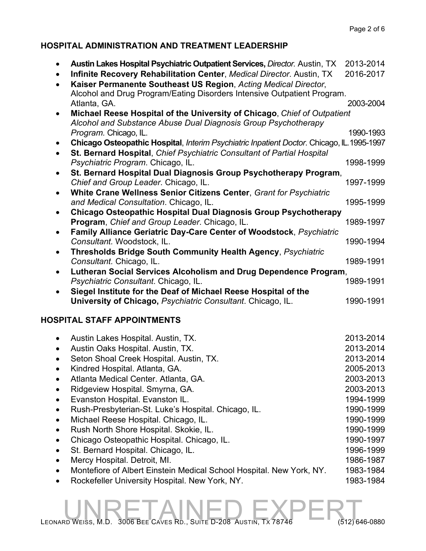## **HOSPITAL ADMINISTRATION AND TREATMENT LEADERSHIP**

|           | Austin Lakes Hospital Psychiatric Outpatient Services, Director. Austin, TX                | 2013-2014 |
|-----------|--------------------------------------------------------------------------------------------|-----------|
|           | Infinite Recovery Rehabilitation Center, Medical Director. Austin, TX                      | 2016-2017 |
|           | Kaiser Permanente Southeast US Region, Acting Medical Director,                            |           |
|           | Alcohol and Drug Program/Eating Disorders Intensive Outpatient Program.                    |           |
|           | Atlanta, GA.                                                                               | 2003-2004 |
| $\bullet$ | Michael Reese Hospital of the University of Chicago, Chief of Outpatient                   |           |
|           | Alcohol and Substance Abuse Dual Diagnosis Group Psychotherapy                             |           |
|           | Program. Chicago, IL.                                                                      | 1990-1993 |
|           | Chicago Osteopathic Hospital, Interim Psychiatric Inpatient Doctor. Chicago, IL. 1995-1997 |           |
| $\bullet$ | St. Bernard Hospital, Chief Psychiatric Consultant of Partial Hospital                     |           |
|           | Psychiatric Program. Chicago, IL.                                                          | 1998-1999 |
|           | St. Bernard Hospital Dual Diagnosis Group Psychotherapy Program,                           |           |
|           | Chief and Group Leader. Chicago, IL.                                                       | 1997-1999 |
|           | White Crane Wellness Senior Citizens Center, Grant for Psychiatric                         |           |
|           | and Medical Consultation. Chicago, IL.                                                     | 1995-1999 |
|           | Chicago Osteopathic Hospital Dual Diagnosis Group Psychotherapy                            |           |
|           | Program, Chief and Group Leader. Chicago, IL.                                              | 1989-1997 |
|           | Family Alliance Geriatric Day-Care Center of Woodstock, Psychiatric                        |           |
|           | Consultant. Woodstock, IL.                                                                 | 1990-1994 |
| $\bullet$ | <b>Thresholds Bridge South Community Health Agency, Psychiatric</b>                        |           |
|           | Consultant. Chicago, IL.                                                                   | 1989-1991 |
|           | Lutheran Social Services Alcoholism and Drug Dependence Program,                           |           |
|           | Psychiatric Consultant. Chicago, IL.                                                       | 1989-1991 |
|           | Siegel Institute for the Deaf of Michael Reese Hospital of the                             |           |
|           | University of Chicago, Psychiatric Consultant. Chicago, IL.                                | 1990-1991 |
|           |                                                                                            |           |
|           | <b>SPITAL STAFF APPOINTMENTS</b>                                                           |           |

## **HOSPITAL STAFF APPOINTMENTS**

|           | Austin Lakes Hospital. Austin, TX.                                   | 2013-2014 |
|-----------|----------------------------------------------------------------------|-----------|
|           | Austin Oaks Hospital. Austin, TX.                                    | 2013-2014 |
|           | Seton Shoal Creek Hospital. Austin, TX.                              | 2013-2014 |
|           | Kindred Hospital. Atlanta, GA.                                       | 2005-2013 |
| $\bullet$ | Atlanta Medical Center. Atlanta, GA.                                 | 2003-2013 |
|           | Ridgeview Hospital. Smyrna, GA.                                      | 2003-2013 |
|           | Evanston Hospital. Evanston IL.                                      | 1994-1999 |
|           | Rush-Presbyterian-St. Luke's Hospital. Chicago, IL.                  | 1990-1999 |
| $\bullet$ | Michael Reese Hospital. Chicago, IL.                                 | 1990-1999 |
|           | Rush North Shore Hospital. Skokie, IL.                               | 1990-1999 |
|           | Chicago Osteopathic Hospital. Chicago, IL.                           | 1990-1997 |
|           | St. Bernard Hospital. Chicago, IL.                                   | 1996-1999 |
|           | Mercy Hospital. Detroit, MI.                                         | 1986-1987 |
|           | Montefiore of Albert Einstein Medical School Hospital. New York, NY. | 1983-1984 |
|           | Rockefeller University Hospital. New York, NY.                       | 1983-1984 |

# LEONARD WEISS, M.D. 3006 BEE CAVES RD., SUITE D-208 AUSTIN, TX 78746 (512) 646-0880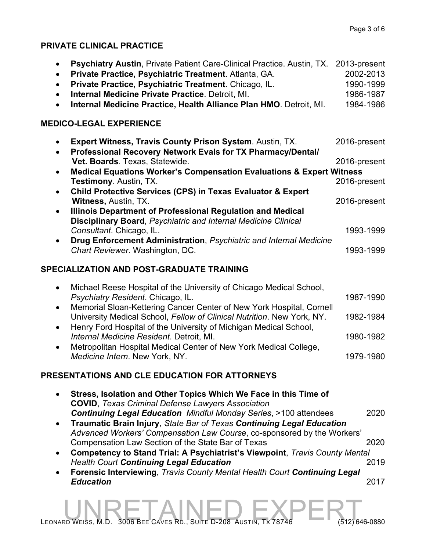## **PRIVATE CLINICAL PRACTICE**

| <b>Psychiatry Austin, Private Patient Care-Clinical Practice. Austin, TX.</b><br>$\bullet$<br>Private Practice, Psychiatric Treatment. Atlanta, GA.<br>$\bullet$<br>Private Practice, Psychiatric Treatment. Chicago, IL.<br>$\bullet$<br>Internal Medicine Private Practice. Detroit, MI.<br>$\bullet$<br>Internal Medicine Practice, Health Alliance Plan HMO. Detroit, MI. | 2013-present<br>2002-2013<br>1990-1999<br>1986-1987<br>1984-1986 |
|-------------------------------------------------------------------------------------------------------------------------------------------------------------------------------------------------------------------------------------------------------------------------------------------------------------------------------------------------------------------------------|------------------------------------------------------------------|
| <b>MEDICO-LEGAL EXPERIENCE</b>                                                                                                                                                                                                                                                                                                                                                |                                                                  |
| <b>Expert Witness, Travis County Prison System. Austin, TX.</b><br>$\bullet$<br>Professional Recovery Network Evals for TX Pharmacy/Dental/<br>$\bullet$                                                                                                                                                                                                                      | 2016-present                                                     |
| Vet. Boards. Texas, Statewide.                                                                                                                                                                                                                                                                                                                                                | 2016-present                                                     |
| <b>Medical Equations Worker's Compensation Evaluations &amp; Expert Witness</b><br>$\bullet$                                                                                                                                                                                                                                                                                  |                                                                  |
| <b>Testimony. Austin, TX.</b>                                                                                                                                                                                                                                                                                                                                                 | 2016-present                                                     |
| <b>Child Protective Services (CPS) in Texas Evaluator &amp; Expert</b><br>$\bullet$<br>Witness, Austin, TX.                                                                                                                                                                                                                                                                   | 2016-present                                                     |
| Illinois Department of Professional Regulation and Medical<br>$\bullet$<br><b>Disciplinary Board, Psychiatric and Internal Medicine Clinical</b>                                                                                                                                                                                                                              |                                                                  |
| Consultant. Chicago, IL.<br>Drug Enforcement Administration, Psychiatric and Internal Medicine                                                                                                                                                                                                                                                                                | 1993-1999                                                        |
| Chart Reviewer. Washington, DC.                                                                                                                                                                                                                                                                                                                                               | 1993-1999                                                        |
| SPECIALIZATION AND POST-GRADUATE TRAINING                                                                                                                                                                                                                                                                                                                                     |                                                                  |
| Michael Reese Hospital of the University of Chicago Medical School,<br>$\bullet$<br>Psychiatry Resident. Chicago, IL.<br>Memorial Sloan-Kettering Cancer Center of New York Hospital, Cornell<br>$\bullet$                                                                                                                                                                    | 1987-1990                                                        |

University Medical School, *Fellow of Clinical Nutrition*. New York, NY. 1982-1984 • Henry Ford Hospital of the University of Michigan Medical School, *Internal Medicine Resident.* Detroit, MI. 1980-1982 • Metropolitan Hospital Medical Center of New York Medical College, *Medicine Intern*. New York, NY. 1979-1980

## **PRESENTATIONS AND CLE EDUCATION FOR ATTORNEYS**

| Stress, Isolation and Other Topics Which We Face in this Time of<br><b>COVID, Texas Criminal Defense Lawyers Association</b> |      |
|------------------------------------------------------------------------------------------------------------------------------|------|
| <b>Continuing Legal Education Mindful Monday Series, &gt;100 attendees</b>                                                   | 2020 |
| Traumatic Brain Injury, State Bar of Texas Continuing Legal Education                                                        |      |
| Advanced Workers' Compensation Law Course, co-sponsored by the Workers'                                                      |      |
| Compensation Law Section of the State Bar of Texas                                                                           | 2020 |
| Competency to Stand Trial: A Psychiatrist's Viewpoint, Travis County Mental                                                  |      |
| <b>Health Court Continuing Legal Education</b>                                                                               | 2019 |
| Forensic Interviewing, Travis County Mental Health Court Continuing Legal                                                    |      |
| <b>Education</b>                                                                                                             | 2017 |
|                                                                                                                              |      |
|                                                                                                                              |      |

LEONARD WEISS, M.D. 3006 BEE CAVES RD., SUITE D-208 AUSTIN, TX 78746 (512) 646-0880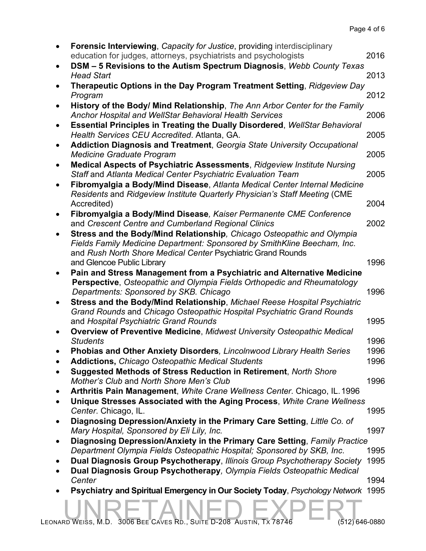| $\bullet$ | <b>Forensic Interviewing, Capacity for Justice, providing interdisciplinary</b><br>education for judges, attorneys, psychiatrists and psychologists | 2016 |
|-----------|-----------------------------------------------------------------------------------------------------------------------------------------------------|------|
| $\bullet$ | DSM - 5 Revisions to the Autism Spectrum Diagnosis, Webb County Texas                                                                               |      |
|           | <b>Head Start</b>                                                                                                                                   | 2013 |
| $\bullet$ | Therapeutic Options in the Day Program Treatment Setting, Ridgeview Day<br>Program                                                                  | 2012 |
| $\bullet$ | History of the Body/ Mind Relationship, The Ann Arbor Center for the Family<br><b>Anchor Hospital and WellStar Behavioral Health Services</b>       | 2006 |
| $\bullet$ | <b>Essential Principles in Treating the Dually Disordered, WellStar Behavioral</b><br>Health Services CEU Accredited. Atlanta, GA.                  | 2005 |
| $\bullet$ | Addiction Diagnosis and Treatment, Georgia State University Occupational<br><b>Medicine Graduate Program</b>                                        | 2005 |
| ٠         | <b>Medical Aspects of Psychiatric Assessments, Ridgeview Institute Nursing</b>                                                                      | 2005 |
| $\bullet$ | Staff and Atlanta Medical Center Psychiatric Evaluation Team<br>Fibromyalgia a Body/Mind Disease, Atlanta Medical Center Internal Medicine          |      |
|           | Residents and Ridgeview Institute Quarterly Physician's Staff Meeting (CME<br>Accredited)                                                           | 2004 |
| $\bullet$ | Fibromyalgia a Body/Mind Disease, Kaiser Permanente CME Conference<br>and Crescent Centre and Cumberland Regional Clinics                           | 2002 |
| $\bullet$ | Stress and the Body/Mind Relationship, Chicago Osteopathic and Olympia<br>Fields Family Medicine Department: Sponsored by SmithKline Beecham, Inc.  |      |
|           | and Rush North Shore Medical Center Psychiatric Grand Rounds<br>and Glencoe Public Library                                                          | 1996 |
|           | Pain and Stress Management from a Psychiatric and Alternative Medicine<br>Perspective, Osteopathic and Olympia Fields Orthopedic and Rheumatology   |      |
|           | Departments: Sponsored by SKB. Chicago                                                                                                              | 1996 |
| $\bullet$ | Stress and the Body/Mind Relationship, Michael Reese Hospital Psychiatric<br>Grand Rounds and Chicago Osteopathic Hospital Psychiatric Grand Rounds |      |
|           | and Hospital Psychiatric Grand Rounds<br><b>Overview of Preventive Medicine, Midwest University Osteopathic Medical</b>                             | 1995 |
|           | <b>Students</b>                                                                                                                                     | 1996 |
|           | Phobias and Other Anxiety Disorders, Lincolnwood Library Health Series                                                                              | 1996 |
|           | <b>Addictions, Chicago Osteopathic Medical Students</b>                                                                                             | 1996 |
| $\bullet$ | Suggested Methods of Stress Reduction in Retirement, North Shore<br>Mother's Club and North Shore Men's Club                                        | 1996 |
| ٠         | Arthritis Pain Management, White Crane Wellness Center. Chicago, IL. 1996                                                                           |      |
|           | Unique Stresses Associated with the Aging Process, White Crane Wellness<br>Center. Chicago, IL.                                                     | 1995 |
| $\bullet$ | Diagnosing Depression/Anxiety in the Primary Care Setting, Little Co. of                                                                            |      |
|           | Mary Hospital, Sponsored by Eli Lily, Inc.                                                                                                          | 1997 |
| ٠         | Diagnosing Depression/Anxiety in the Primary Care Setting, Family Practice                                                                          |      |
|           | Department Olympia Fields Osteopathic Hospital; Sponsored by SKB, Inc.                                                                              | 1995 |
|           | Dual Diagnosis Group Psychotherapy, Illinois Group Psychotherapy Society<br>Dual Diagnosis Group Psychotherapy, Olympia Fields Osteopathic Medical  | 1995 |
|           | Center                                                                                                                                              | 1994 |
| $\bullet$ | Psychiatry and Spiritual Emergency in Our Society Today, Psychology Network 1995                                                                    |      |
|           | LEONARD WEISS, M.D. 3006 BEE CAVES RD., SUITE D-208 AUSTIN, TX 78746<br>(512) 646-0880                                                              |      |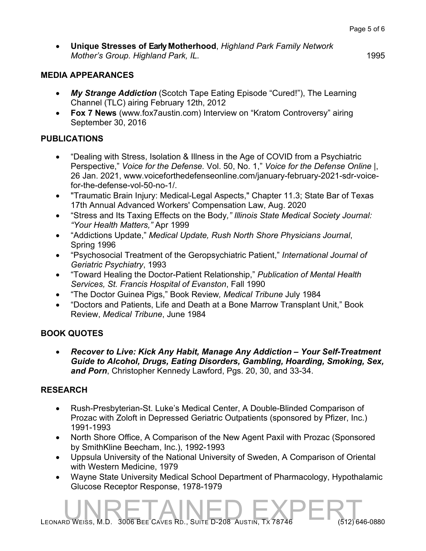• **Unique Stresses of Early Motherhood**, *Highland Park Family Network Mother's Group. Highland Park, IL.* 1995

### **MEDIA APPEARANCES**

- *My Strange Addiction* (Scotch Tape Eating Episode "Cured!"), The Learning Channel (TLC) airing February 12th, 2012
- **Fox 7 News** (www.fox7austin.com) Interview on "Kratom Controversy" airing September 30, 2016

## **PUBLICATIONS**

- "Dealing with Stress, Isolation & Illness in the Age of COVID from a Psychiatric Perspective," *Voice for the Defense.* Vol. 50, No. 1," *Voice for the Defense Online |*, 26 Jan. 2021, www.voiceforthedefenseonline.com/january-february-2021-sdr-voicefor-the-defense-vol-50-no-1/.
- "Traumatic Brain Injury: Medical-Legal Aspects," Chapter 11.3; State Bar of Texas 17th Annual Advanced Workers' Compensation Law, Aug. 2020
- "Stress and Its Taxing Effects on the Body*," Illinois State Medical Society Journal: "Your Health Matters,"* Apr 1999
- "Addictions Update," *Medical Update, Rush North Shore Physicians Journal*, Spring 1996
- "Psychosocial Treatment of the Geropsychiatric Patient," *International Journal of Geriatric Psychiatry*, 1993
- "Toward Healing the Doctor-Patient Relationship," *Publication of Mental Health Services, St. Francis Hospital of Evanston*, Fall 1990
- "The Doctor Guinea Pigs," Book Review*, Medical Tribune* July 1984
- "Doctors and Patients, Life and Death at a Bone Marrow Transplant Unit," Book Review, *Medical Tribune*, June 1984

## **BOOK QUOTES**

• *Recover to Live: Kick Any Habit, Manage Any Addiction – Your Self-Treatment Guide to Alcohol, Drugs, Eating Disorders, Gambling, Hoarding, Smoking, Sex, and Porn*, Christopher Kennedy Lawford, Pgs. 20, 30, and 33-34.

## **RESEARCH**

- Rush-Presbyterian-St. Luke's Medical Center, A Double-Blinded Comparison of Prozac with Zoloft in Depressed Geriatric Outpatients (sponsored by Pfizer, Inc.) 1991-1993
- North Shore Office, A Comparison of the New Agent Paxil with Prozac (Sponsored by SmithKline Beecham, Inc.), 1992-1993
- Uppsula University of the National University of Sweden, A Comparison of Oriental with Western Medicine, 1979
- Wayne State University Medical School Department of Pharmacology, Hypothalamic Glucose Receptor Response, 1978-1979

LEONARD WEISS, M.D. 3006 BEE CAVES RD., SUITE D-208 AUSTIN, TX 78746 (512) 646-0880